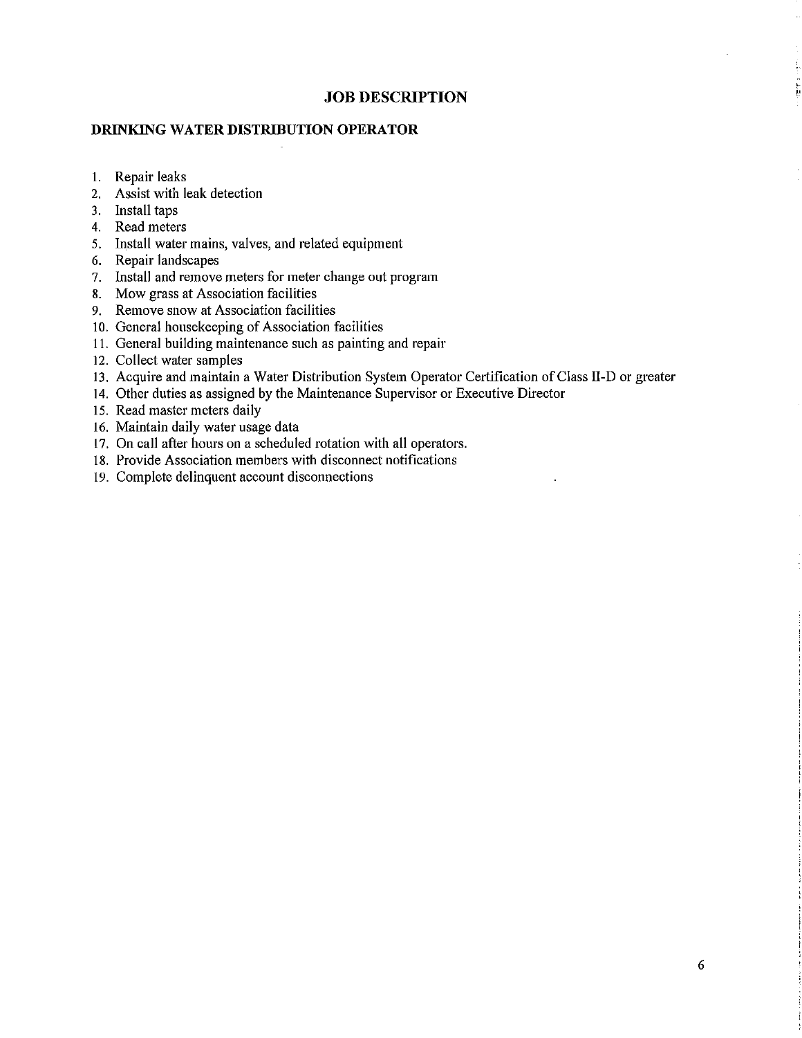# **DRINKING WATER DISTRIBUTION OPERATOR**

- I. Repair leaks
- 2. Assist with leak detection
- 3. Install taps
- 4. Read meters
- 5. Install water mains, valves, and related equipment
- 6. Repair landscapes
- 7. Install and remove meters for meter change out program
- 8. Mow grass at Association facilities
- 9. Remove snow at Association facilities
- 10. General housekeeping of Association facilities
- 11. General building maintenance such as painting and repair
- 12. Collect water samples
- 13. Acquire and maintain a Water Distribution System Operator Certification of Class II-D or greater
- 14. Other duties as assigned by the Maintenance Supervisor or Executive Director
- 15. Read master meters daily
- 16. Maintain daily water usage data
- 17. On call after hours on a scheduled rotation with all operators.
- 18. Provide Association members with disconnect notifications
- 19. Complete delinquent account disconnections

۲,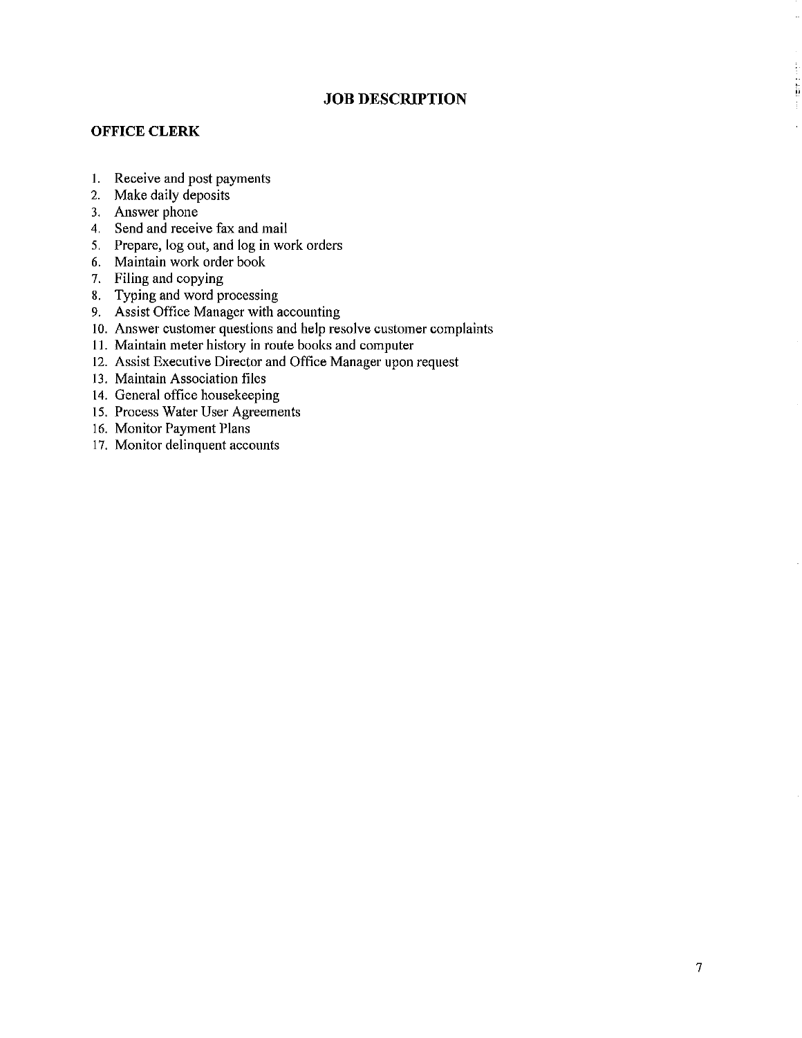## **OFFICE CLERK**

- I. Receive and post payments
- 2. Make daily deposits
- 3. Answer phone
- 4. Send and receive fax and mail
- 5. Prepare, log out, and log in work orders
- 6. Maintain work order book
- 7. Filing and copying
- 8. Typing and word processing
- 9. Assist Office Manager with accounting
- 10. Answer customer questions and help resolve customer complaints
- 11. Maintain meter history in route books and computer
- 12. Assist Executive Director and Office Manager upon request
- 13. Maintain Association files
- 14. General office housekeeping
- 15. Process Water User Agreements
- 16. Monitor Payment Plans
- 17. Monitor delinquent accounts

 $\ddot{\phantom{a}}$ 

÷, ii<br>ii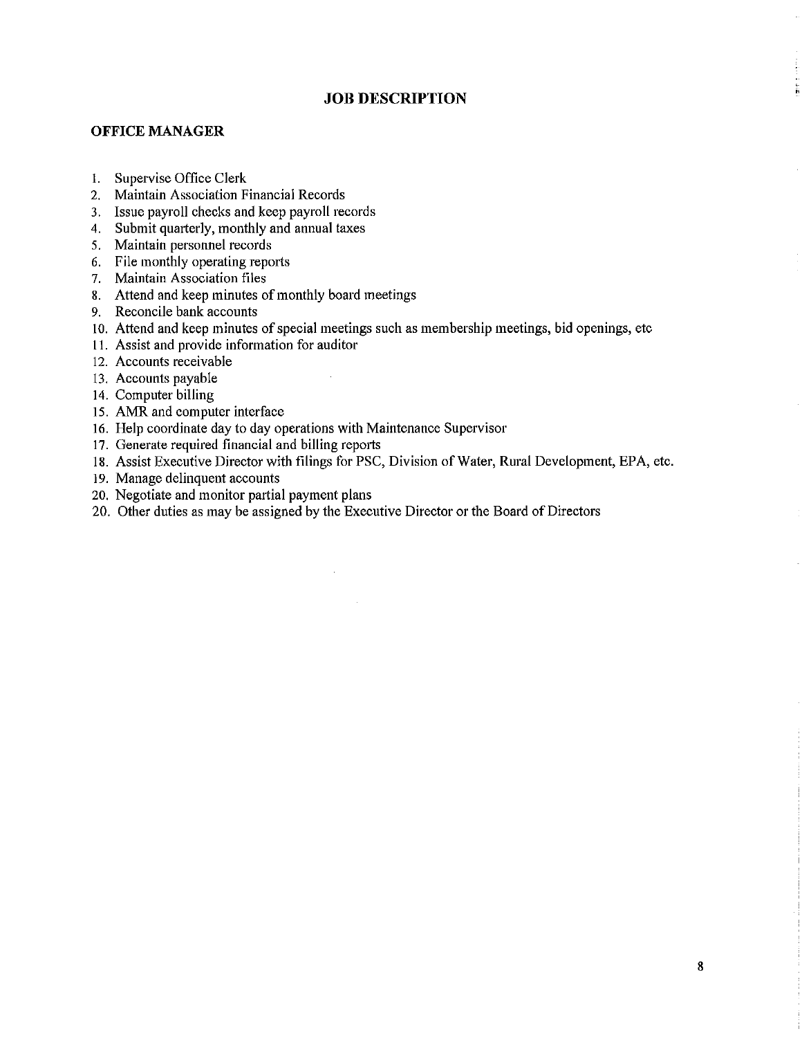#### **OFFICE MANAGER**

- I. Supervise Office Clerk
- 2. Maintain Association Financial Records
- 3. Issue payroll checks and keep payroll records
- 4. Submit quarterly, monthly and annual taxes
- 5. Maintain personnel records
- 6. File monthly operating reports
- 7. Maintain Association files
- 8. Attend and keep minutes of monthly board meetings
- 9. Reconcile bank accounts
- 10. Attend and keep minutes of special meetings such as membership meetings, bid openings, etc
- 11. Assist and provide information for auditor
- 12. Accounts receivable
- 13. Accounts payable
- 14. Computer billing
- 15. AMR and computer interface
- 16. Help coordinate day to day operations with Maintenance Supervisor
- 17. Generate required financial and billing reports
- 18. Assist Executive Director with filings for PSC, Division of Water, Rural Development, EPA, etc.
- 19. Manage delinquent accounts
- 20. Negotiate and monitor partial payment plans
- 20. Other duties as may be assigned by the Executive Director or the Board of Directors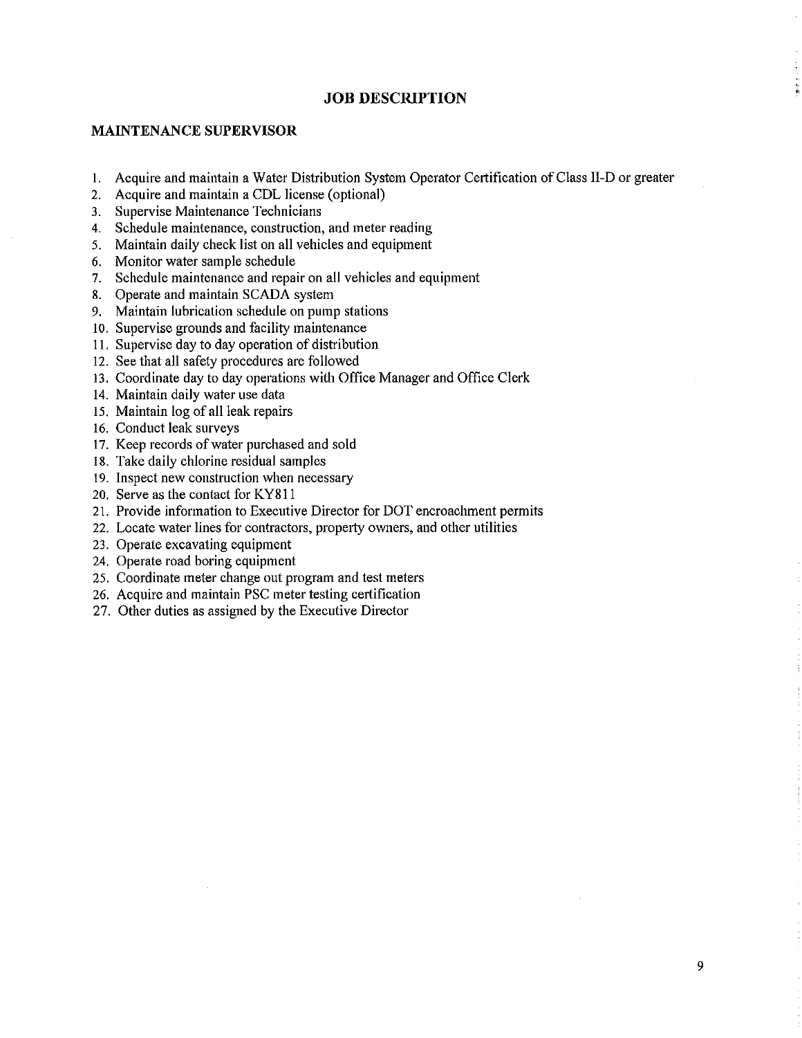## **MAINTENANCE SUPERVISOR**

- 1. Acquire and maintain a Water Distribution System Operator Certification of Class II-D or greater
- 2. Acquire and maintain a CDL license (optional)
- 3. Supervise Maintenance Technicians
- 4. Schedule maintenance, construction, and meter reading
- 5. Maintain daily check list on all vehicles and equipment
- 6. Monitor water sample schedule
- 7. Schedule maintenance and repair on all vehicles and equipment
- **8.** Operate and maintain SCADA system
- 9. Maintain lubrication schedule on pump stations
- 10. Supervise grounds and facility maintenance
- 11. Supervise day to day operation of distribution
- 12. See that all safety procedures are followed
- 13. Coordinate day to day operations with Office Manager and Office Clerk
- 14. Maintain daily water use data
- 15. Maintain log of all leak repairs
- 16. Conduct leak surveys
- 17. Keep records of water purchased and sold
- 18. Take daily chlorine residual samples
- 19. Inspect new construction when necessary
- 20. Serve as the contact for KY81 l
- 21. Provide information to Executive Director for DOT encroachment permits
- 22. Locate water lines for contractors, property owners, and other utilities
- 23. Operate excavating equipment
- 24. Operate road boring equipment
- 25. Coordinate meter change out program and test meters
- 26. Acquire and maintain PSC meter testing certification
- 27. Other duties as assigned by the Executive Director